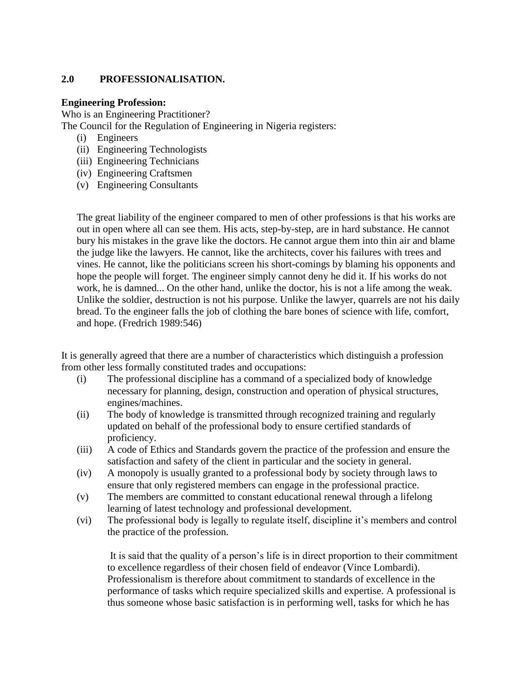#### **2.0 PROFESSIONALISATION.**

#### **Engineering Profession:**

Who is an Engineering Practitioner?

The Council for the Regulation of Engineering in Nigeria registers:

- (i) Engineers
- (ii) Engineering Technologists
- (iii) Engineering Technicians
- (iv) Engineering Craftsmen
- (v) Engineering Consultants

The great liability of the engineer compared to men of other professions is that his works are out in open where all can see them. His acts, step-by-step, are in hard substance. He cannot bury his mistakes in the grave like the doctors. He cannot argue them into thin air and blame the judge like the lawyers. He cannot, like the architects, cover his failures with trees and vines. He cannot, like the politicians screen his short-comings by blaming his opponents and hope the people will forget. The engineer simply cannot deny he did it. If his works do not work, he is damned... On the other hand, unlike the doctor, his is not a life among the weak. Unlike the soldier, destruction is not his purpose. Unlike the lawyer, quarrels are not his daily bread. To the engineer falls the job of clothing the bare bones of science with life, comfort, and hope. (Fredrich 1989:546)

It is generally agreed that there are a number of characteristics which distinguish a profession from other less formally constituted trades and occupations:

- (i) The professional discipline has a command of a specialized body of knowledge necessary for planning, design, construction and operation of physical structures, engines/machines.
- (ii) The body of knowledge is transmitted through recognized training and regularly updated on behalf of the professional body to ensure certified standards of proficiency.
- (iii) A code of Ethics and Standards govern the practice of the profession and ensure the satisfaction and safety of the client in particular and the society in general.
- (iv) A monopoly is usually granted to a professional body by society through laws to ensure that only registered members can engage in the professional practice.
- (v) The members are committed to constant educational renewal through a lifelong learning of latest technology and professional development.
- (vi) The professional body is legally to regulate itself, discipline it's members and control the practice of the profession.

It is said that the quality of a person's life is in direct proportion to their commitment to excellence regardless of their chosen field of endeavor (Vince Lombardi). Professionalism is therefore about commitment to standards of excellence in the performance of tasks which require specialized skills and expertise. A professional is thus someone whose basic satisfaction is in performing well, tasks for which he has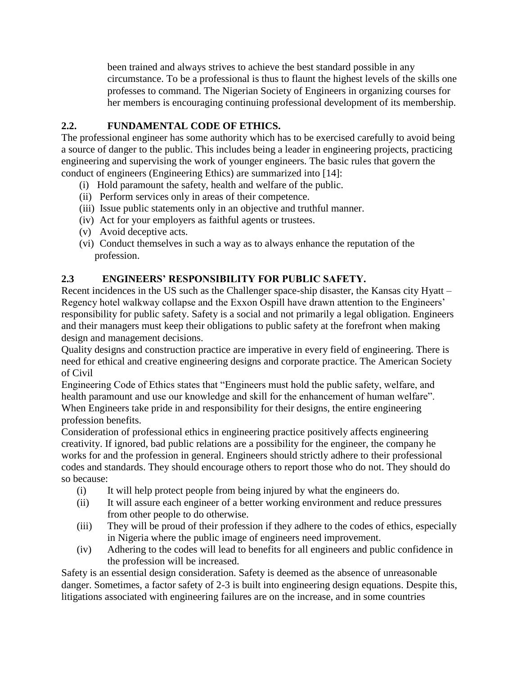been trained and always strives to achieve the best standard possible in any circumstance. To be a professional is thus to flaunt the highest levels of the skills one professes to command. The Nigerian Society of Engineers in organizing courses for her members is encouraging continuing professional development of its membership.

### **2.2. FUNDAMENTAL CODE OF ETHICS.**

The professional engineer has some authority which has to be exercised carefully to avoid being a source of danger to the public. This includes being a leader in engineering projects, practicing engineering and supervising the work of younger engineers. The basic rules that govern the conduct of engineers (Engineering Ethics) are summarized into [14]:

- (i) Hold paramount the safety, health and welfare of the public.
- (ii) Perform services only in areas of their competence.
- (iii) Issue public statements only in an objective and truthful manner.
- (iv) Act for your employers as faithful agents or trustees.
- (v) Avoid deceptive acts.
- (vi) Conduct themselves in such a way as to always enhance the reputation of the profession.

### **2.3 ENGINEERS' RESPONSIBILITY FOR PUBLIC SAFETY.**

Recent incidences in the US such as the Challenger space-ship disaster, the Kansas city Hyatt – Regency hotel walkway collapse and the Exxon Ospill have drawn attention to the Engineers' responsibility for public safety. Safety is a social and not primarily a legal obligation. Engineers and their managers must keep their obligations to public safety at the forefront when making design and management decisions.

Quality designs and construction practice are imperative in every field of engineering. There is need for ethical and creative engineering designs and corporate practice. The American Society of Civil

Engineering Code of Ethics states that "Engineers must hold the public safety, welfare, and health paramount and use our knowledge and skill for the enhancement of human welfare". When Engineers take pride in and responsibility for their designs, the entire engineering profession benefits.

Consideration of professional ethics in engineering practice positively affects engineering creativity. If ignored, bad public relations are a possibility for the engineer, the company he works for and the profession in general. Engineers should strictly adhere to their professional codes and standards. They should encourage others to report those who do not. They should do so because:

- (i) It will help protect people from being injured by what the engineers do.
- (ii) It will assure each engineer of a better working environment and reduce pressures from other people to do otherwise.
- (iii) They will be proud of their profession if they adhere to the codes of ethics, especially in Nigeria where the public image of engineers need improvement.
- (iv) Adhering to the codes will lead to benefits for all engineers and public confidence in the profession will be increased.

Safety is an essential design consideration. Safety is deemed as the absence of unreasonable danger. Sometimes, a factor safety of 2-3 is built into engineering design equations. Despite this, litigations associated with engineering failures are on the increase, and in some countries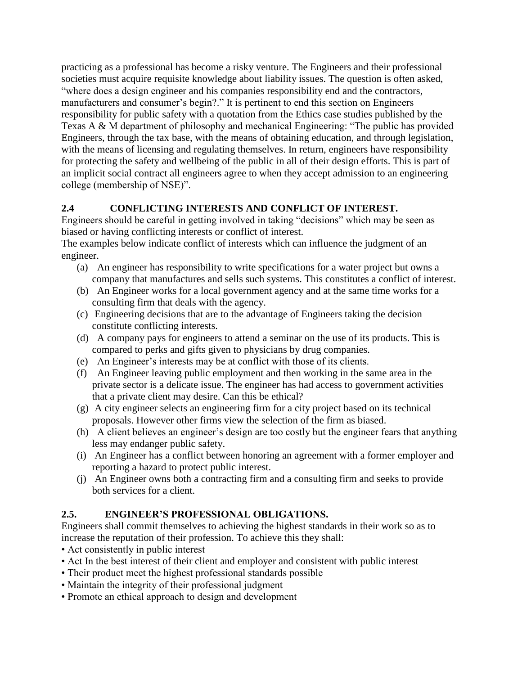practicing as a professional has become a risky venture. The Engineers and their professional societies must acquire requisite knowledge about liability issues. The question is often asked, "where does a design engineer and his companies responsibility end and the contractors, manufacturers and consumer's begin?." It is pertinent to end this section on Engineers responsibility for public safety with a quotation from the Ethics case studies published by the Texas A & M department of philosophy and mechanical Engineering: "The public has provided Engineers, through the tax base, with the means of obtaining education, and through legislation, with the means of licensing and regulating themselves. In return, engineers have responsibility for protecting the safety and wellbeing of the public in all of their design efforts. This is part of an implicit social contract all engineers agree to when they accept admission to an engineering college (membership of NSE)".

## **2.4 CONFLICTING INTERESTS AND CONFLICT OF INTEREST.**

Engineers should be careful in getting involved in taking "decisions" which may be seen as biased or having conflicting interests or conflict of interest.

The examples below indicate conflict of interests which can influence the judgment of an engineer.

- (a) An engineer has responsibility to write specifications for a water project but owns a company that manufactures and sells such systems. This constitutes a conflict of interest.
- (b) An Engineer works for a local government agency and at the same time works for a consulting firm that deals with the agency.
- (c) Engineering decisions that are to the advantage of Engineers taking the decision constitute conflicting interests.
- (d) A company pays for engineers to attend a seminar on the use of its products. This is compared to perks and gifts given to physicians by drug companies.
- (e) An Engineer's interests may be at conflict with those of its clients.
- (f) An Engineer leaving public employment and then working in the same area in the private sector is a delicate issue. The engineer has had access to government activities that a private client may desire. Can this be ethical?
- (g) A city engineer selects an engineering firm for a city project based on its technical proposals. However other firms view the selection of the firm as biased.
- (h) A client believes an engineer's design are too costly but the engineer fears that anything less may endanger public safety.
- (i) An Engineer has a conflict between honoring an agreement with a former employer and reporting a hazard to protect public interest.
- (j) An Engineer owns both a contracting firm and a consulting firm and seeks to provide both services for a client.

### **2.5. ENGINEER'S PROFESSIONAL OBLIGATIONS.**

Engineers shall commit themselves to achieving the highest standards in their work so as to increase the reputation of their profession. To achieve this they shall:

- Act consistently in public interest
- Act In the best interest of their client and employer and consistent with public interest
- Their product meet the highest professional standards possible
- Maintain the integrity of their professional judgment
- Promote an ethical approach to design and development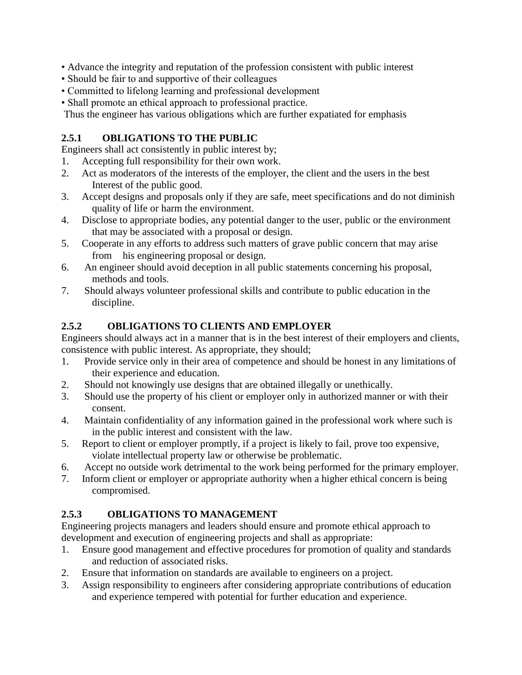- Advance the integrity and reputation of the profession consistent with public interest
- Should be fair to and supportive of their colleagues
- Committed to lifelong learning and professional development
- Shall promote an ethical approach to professional practice.

Thus the engineer has various obligations which are further expatiated for emphasis

### **2.5.1 OBLIGATIONS TO THE PUBLIC**

Engineers shall act consistently in public interest by;

- 1. Accepting full responsibility for their own work.
- 2. Act as moderators of the interests of the employer, the client and the users in the best Interest of the public good.
- 3. Accept designs and proposals only if they are safe, meet specifications and do not diminish quality of life or harm the environment.
- 4. Disclose to appropriate bodies, any potential danger to the user, public or the environment that may be associated with a proposal or design.
- 5. Cooperate in any efforts to address such matters of grave public concern that may arise from his engineering proposal or design.
- 6. An engineer should avoid deception in all public statements concerning his proposal, methods and tools.
- 7. Should always volunteer professional skills and contribute to public education in the discipline.

### **2.5.2 OBLIGATIONS TO CLIENTS AND EMPLOYER**

Engineers should always act in a manner that is in the best interest of their employers and clients, consistence with public interest. As appropriate, they should;

- 1. Provide service only in their area of competence and should be honest in any limitations of their experience and education.
- 2. Should not knowingly use designs that are obtained illegally or unethically.
- 3. Should use the property of his client or employer only in authorized manner or with their consent.
- 4. Maintain confidentiality of any information gained in the professional work where such is in the public interest and consistent with the law.
- 5. Report to client or employer promptly, if a project is likely to fail, prove too expensive, violate intellectual property law or otherwise be problematic.
- 6. Accept no outside work detrimental to the work being performed for the primary employer.
- 7. Inform client or employer or appropriate authority when a higher ethical concern is being compromised.

### **2.5.3 OBLIGATIONS TO MANAGEMENT**

Engineering projects managers and leaders should ensure and promote ethical approach to development and execution of engineering projects and shall as appropriate:

- 1. Ensure good management and effective procedures for promotion of quality and standards and reduction of associated risks.
- 2. Ensure that information on standards are available to engineers on a project.
- 3. Assign responsibility to engineers after considering appropriate contributions of education and experience tempered with potential for further education and experience.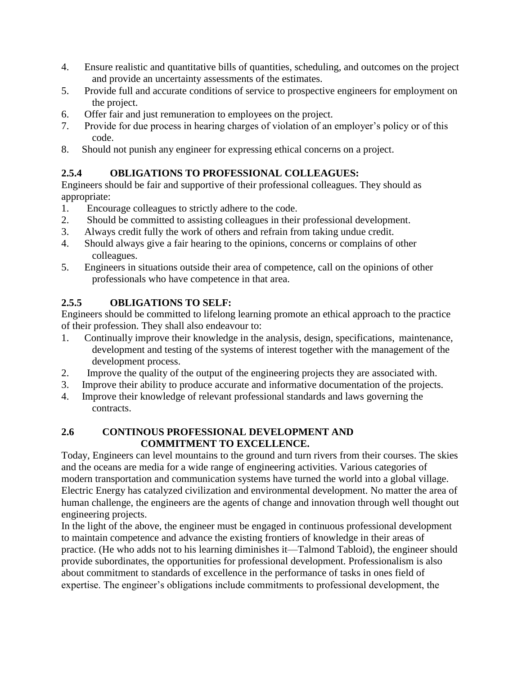- 4. Ensure realistic and quantitative bills of quantities, scheduling, and outcomes on the project and provide an uncertainty assessments of the estimates.
- 5. Provide full and accurate conditions of service to prospective engineers for employment on the project.
- 6. Offer fair and just remuneration to employees on the project.
- 7. Provide for due process in hearing charges of violation of an employer's policy or of this code.
- 8. Should not punish any engineer for expressing ethical concerns on a project.

# **2.5.4 OBLIGATIONS TO PROFESSIONAL COLLEAGUES:**

Engineers should be fair and supportive of their professional colleagues. They should as appropriate:

- 1. Encourage colleagues to strictly adhere to the code.
- 2. Should be committed to assisting colleagues in their professional development.
- 3. Always credit fully the work of others and refrain from taking undue credit.
- 4. Should always give a fair hearing to the opinions, concerns or complains of other colleagues.
- 5. Engineers in situations outside their area of competence, call on the opinions of other professionals who have competence in that area.

## **2.5.5 OBLIGATIONS TO SELF:**

Engineers should be committed to lifelong learning promote an ethical approach to the practice of their profession. They shall also endeavour to:

- 1. Continually improve their knowledge in the analysis, design, specifications, maintenance, development and testing of the systems of interest together with the management of the development process.
- 2. Improve the quality of the output of the engineering projects they are associated with.
- 3. Improve their ability to produce accurate and informative documentation of the projects.
- 4. Improve their knowledge of relevant professional standards and laws governing the contracts.

### **2.6 CONTINOUS PROFESSIONAL DEVELOPMENT AND COMMITMENT TO EXCELLENCE.**

Today, Engineers can level mountains to the ground and turn rivers from their courses. The skies and the oceans are media for a wide range of engineering activities. Various categories of modern transportation and communication systems have turned the world into a global village. Electric Energy has catalyzed civilization and environmental development. No matter the area of human challenge, the engineers are the agents of change and innovation through well thought out engineering projects.

In the light of the above, the engineer must be engaged in continuous professional development to maintain competence and advance the existing frontiers of knowledge in their areas of practice. (He who adds not to his learning diminishes it—Talmond Tabloid), the engineer should provide subordinates, the opportunities for professional development. Professionalism is also about commitment to standards of excellence in the performance of tasks in ones field of expertise. The engineer's obligations include commitments to professional development, the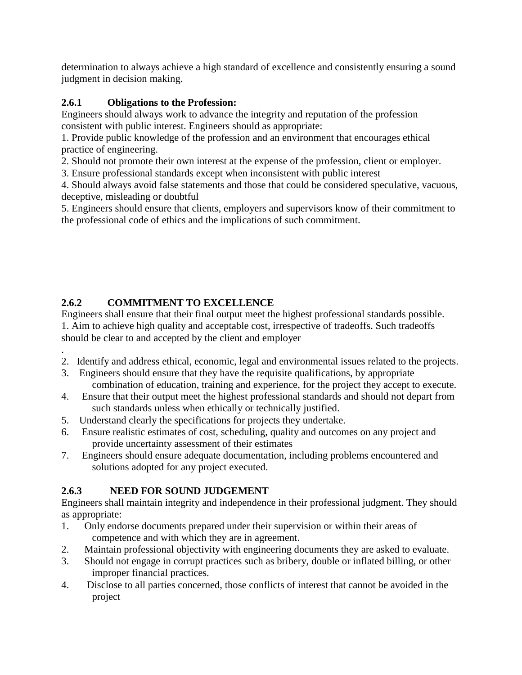determination to always achieve a high standard of excellence and consistently ensuring a sound judgment in decision making.

## **2.6.1 Obligations to the Profession:**

Engineers should always work to advance the integrity and reputation of the profession consistent with public interest. Engineers should as appropriate:

1. Provide public knowledge of the profession and an environment that encourages ethical practice of engineering.

2. Should not promote their own interest at the expense of the profession, client or employer.

3. Ensure professional standards except when inconsistent with public interest

4. Should always avoid false statements and those that could be considered speculative, vacuous, deceptive, misleading or doubtful

5. Engineers should ensure that clients, employers and supervisors know of their commitment to the professional code of ethics and the implications of such commitment.

# **2.6.2 COMMITMENT TO EXCELLENCE**

Engineers shall ensure that their final output meet the highest professional standards possible. 1. Aim to achieve high quality and acceptable cost, irrespective of tradeoffs. Such tradeoffs should be clear to and accepted by the client and employer

- . 2. Identify and address ethical, economic, legal and environmental issues related to the projects.
- 3. Engineers should ensure that they have the requisite qualifications, by appropriate combination of education, training and experience, for the project they accept to execute.
- 4. Ensure that their output meet the highest professional standards and should not depart from such standards unless when ethically or technically justified.
- 5. Understand clearly the specifications for projects they undertake.
- 6. Ensure realistic estimates of cost, scheduling, quality and outcomes on any project and provide uncertainty assessment of their estimates
- 7. Engineers should ensure adequate documentation, including problems encountered and solutions adopted for any project executed.

# **2.6.3 NEED FOR SOUND JUDGEMENT**

Engineers shall maintain integrity and independence in their professional judgment. They should as appropriate:

- 1. Only endorse documents prepared under their supervision or within their areas of competence and with which they are in agreement.
- 2. Maintain professional objectivity with engineering documents they are asked to evaluate.
- 3. Should not engage in corrupt practices such as bribery, double or inflated billing, or other improper financial practices.
- 4. Disclose to all parties concerned, those conflicts of interest that cannot be avoided in the project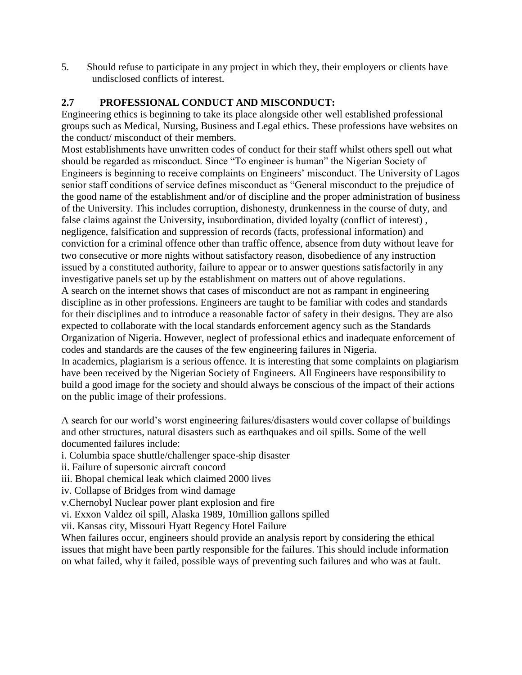5. Should refuse to participate in any project in which they, their employers or clients have undisclosed conflicts of interest.

#### **2.7 PROFESSIONAL CONDUCT AND MISCONDUCT:**

Engineering ethics is beginning to take its place alongside other well established professional groups such as Medical, Nursing, Business and Legal ethics. These professions have websites on the conduct/ misconduct of their members.

Most establishments have unwritten codes of conduct for their staff whilst others spell out what should be regarded as misconduct. Since "To engineer is human" the Nigerian Society of Engineers is beginning to receive complaints on Engineers' misconduct. The University of Lagos senior staff conditions of service defines misconduct as "General misconduct to the prejudice of the good name of the establishment and/or of discipline and the proper administration of business of the University. This includes corruption, dishonesty, drunkenness in the course of duty, and false claims against the University, insubordination, divided loyalty (conflict of interest) , negligence, falsification and suppression of records (facts, professional information) and conviction for a criminal offence other than traffic offence, absence from duty without leave for two consecutive or more nights without satisfactory reason, disobedience of any instruction issued by a constituted authority, failure to appear or to answer questions satisfactorily in any investigative panels set up by the establishment on matters out of above regulations. A search on the internet shows that cases of misconduct are not as rampant in engineering discipline as in other professions. Engineers are taught to be familiar with codes and standards for their disciplines and to introduce a reasonable factor of safety in their designs. They are also expected to collaborate with the local standards enforcement agency such as the Standards Organization of Nigeria. However, neglect of professional ethics and inadequate enforcement of codes and standards are the causes of the few engineering failures in Nigeria. In academics, plagiarism is a serious offence. It is interesting that some complaints on plagiarism have been received by the Nigerian Society of Engineers. All Engineers have responsibility to build a good image for the society and should always be conscious of the impact of their actions on the public image of their professions.

A search for our world's worst engineering failures/disasters would cover collapse of buildings and other structures, natural disasters such as earthquakes and oil spills. Some of the well documented failures include:

i. Columbia space shuttle/challenger space-ship disaster

ii. Failure of supersonic aircraft concord

iii. Bhopal chemical leak which claimed 2000 lives

iv. Collapse of Bridges from wind damage

v.Chernobyl Nuclear power plant explosion and fire

vi. Exxon Valdez oil spill, Alaska 1989, 10million gallons spilled

vii. Kansas city, Missouri Hyatt Regency Hotel Failure

When failures occur, engineers should provide an analysis report by considering the ethical issues that might have been partly responsible for the failures. This should include information on what failed, why it failed, possible ways of preventing such failures and who was at fault.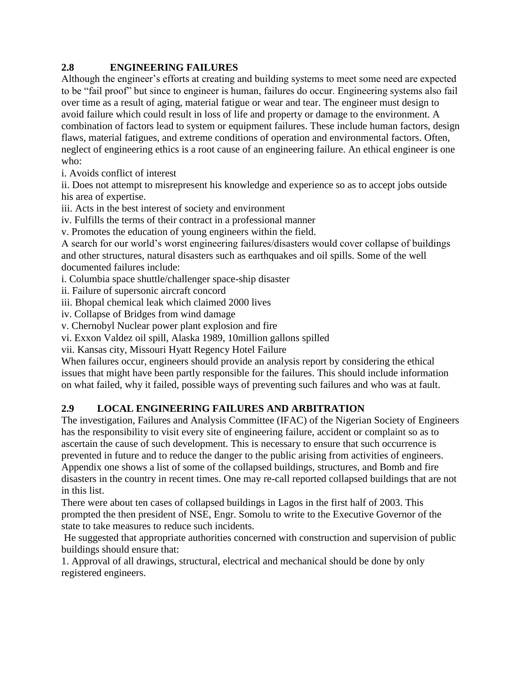### **2.8 ENGINEERING FAILURES**

Although the engineer's efforts at creating and building systems to meet some need are expected to be "fail proof" but since to engineer is human, failures do occur. Engineering systems also fail over time as a result of aging, material fatigue or wear and tear. The engineer must design to avoid failure which could result in loss of life and property or damage to the environment. A combination of factors lead to system or equipment failures. These include human factors, design flaws, material fatigues, and extreme conditions of operation and environmental factors. Often, neglect of engineering ethics is a root cause of an engineering failure. An ethical engineer is one who:

i. Avoids conflict of interest

ii. Does not attempt to misrepresent his knowledge and experience so as to accept jobs outside his area of expertise.

iii. Acts in the best interest of society and environment

iv. Fulfills the terms of their contract in a professional manner

v. Promotes the education of young engineers within the field.

A search for our world's worst engineering failures/disasters would cover collapse of buildings and other structures, natural disasters such as earthquakes and oil spills. Some of the well documented failures include:

i. Columbia space shuttle/challenger space-ship disaster

ii. Failure of supersonic aircraft concord

iii. Bhopal chemical leak which claimed 2000 lives

iv. Collapse of Bridges from wind damage

v. Chernobyl Nuclear power plant explosion and fire

vi. Exxon Valdez oil spill, Alaska 1989, 10million gallons spilled

vii. Kansas city, Missouri Hyatt Regency Hotel Failure

When failures occur, engineers should provide an analysis report by considering the ethical issues that might have been partly responsible for the failures. This should include information on what failed, why it failed, possible ways of preventing such failures and who was at fault.

### **2.9 LOCAL ENGINEERING FAILURES AND ARBITRATION**

The investigation, Failures and Analysis Committee (IFAC) of the Nigerian Society of Engineers has the responsibility to visit every site of engineering failure, accident or complaint so as to ascertain the cause of such development. This is necessary to ensure that such occurrence is prevented in future and to reduce the danger to the public arising from activities of engineers. Appendix one shows a list of some of the collapsed buildings, structures, and Bomb and fire disasters in the country in recent times. One may re-call reported collapsed buildings that are not in this list.

There were about ten cases of collapsed buildings in Lagos in the first half of 2003. This prompted the then president of NSE, Engr. Somolu to write to the Executive Governor of the state to take measures to reduce such incidents.

He suggested that appropriate authorities concerned with construction and supervision of public buildings should ensure that:

1. Approval of all drawings, structural, electrical and mechanical should be done by only registered engineers.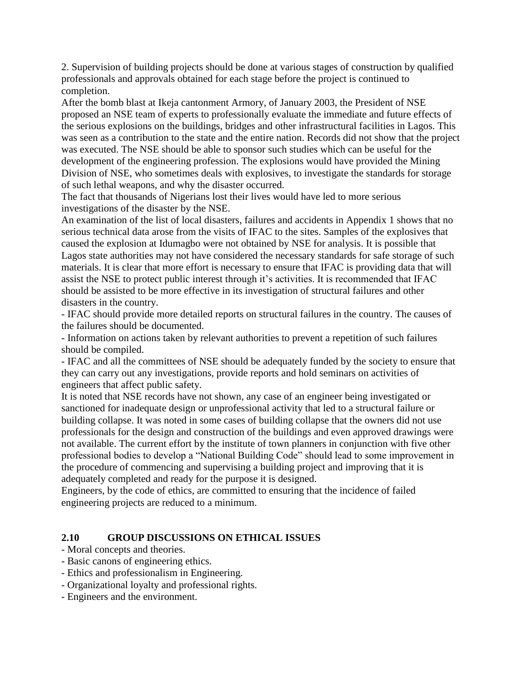2. Supervision of building projects should be done at various stages of construction by qualified professionals and approvals obtained for each stage before the project is continued to completion.

After the bomb blast at Ikeja cantonment Armory, of January 2003, the President of NSE proposed an NSE team of experts to professionally evaluate the immediate and future effects of the serious explosions on the buildings, bridges and other infrastructural facilities in Lagos. This was seen as a contribution to the state and the entire nation. Records did not show that the project was executed. The NSE should be able to sponsor such studies which can be useful for the development of the engineering profession. The explosions would have provided the Mining Division of NSE, who sometimes deals with explosives, to investigate the standards for storage of such lethal weapons, and why the disaster occurred.

The fact that thousands of Nigerians lost their lives would have led to more serious investigations of the disaster by the NSE.

An examination of the list of local disasters, failures and accidents in Appendix 1 shows that no serious technical data arose from the visits of IFAC to the sites. Samples of the explosives that caused the explosion at Idumagbo were not obtained by NSE for analysis. It is possible that Lagos state authorities may not have considered the necessary standards for safe storage of such materials. It is clear that more effort is necessary to ensure that IFAC is providing data that will assist the NSE to protect public interest through it's activities. It is recommended that IFAC should be assisted to be more effective in its investigation of structural failures and other disasters in the country.

- IFAC should provide more detailed reports on structural failures in the country. The causes of the failures should be documented.

- Information on actions taken by relevant authorities to prevent a repetition of such failures should be compiled.

- IFAC and all the committees of NSE should be adequately funded by the society to ensure that they can carry out any investigations, provide reports and hold seminars on activities of engineers that affect public safety.

It is noted that NSE records have not shown, any case of an engineer being investigated or sanctioned for inadequate design or unprofessional activity that led to a structural failure or building collapse. It was noted in some cases of building collapse that the owners did not use professionals for the design and construction of the buildings and even approved drawings were not available. The current effort by the institute of town planners in conjunction with five other professional bodies to develop a "National Building Code" should lead to some improvement in the procedure of commencing and supervising a building project and improving that it is adequately completed and ready for the purpose it is designed.

Engineers, by the code of ethics, are committed to ensuring that the incidence of failed engineering projects are reduced to a minimum.

#### **2.10 GROUP DISCUSSIONS ON ETHICAL ISSUES**

- Moral concepts and theories.
- Basic canons of engineering ethics.
- Ethics and professionalism in Engineering.
- Organizational loyalty and professional rights.
- Engineers and the environment.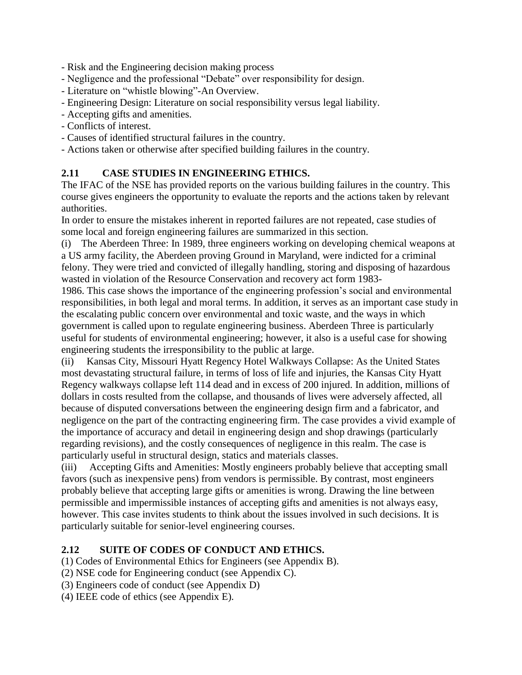- Risk and the Engineering decision making process
- Negligence and the professional "Debate" over responsibility for design.
- Literature on "whistle blowing"-An Overview.
- Engineering Design: Literature on social responsibility versus legal liability.
- Accepting gifts and amenities.
- Conflicts of interest.
- Causes of identified structural failures in the country.
- Actions taken or otherwise after specified building failures in the country.

#### **2.11 CASE STUDIES IN ENGINEERING ETHICS.**

The IFAC of the NSE has provided reports on the various building failures in the country. This course gives engineers the opportunity to evaluate the reports and the actions taken by relevant authorities.

In order to ensure the mistakes inherent in reported failures are not repeated, case studies of some local and foreign engineering failures are summarized in this section.

(i) The Aberdeen Three: In 1989, three engineers working on developing chemical weapons at a US army facility, the Aberdeen proving Ground in Maryland, were indicted for a criminal felony. They were tried and convicted of illegally handling, storing and disposing of hazardous wasted in violation of the Resource Conservation and recovery act form 1983-

1986. This case shows the importance of the engineering profession's social and environmental responsibilities, in both legal and moral terms. In addition, it serves as an important case study in the escalating public concern over environmental and toxic waste, and the ways in which government is called upon to regulate engineering business. Aberdeen Three is particularly useful for students of environmental engineering; however, it also is a useful case for showing engineering students the irresponsibility to the public at large.

(ii) Kansas City, Missouri Hyatt Regency Hotel Walkways Collapse: As the United States most devastating structural failure, in terms of loss of life and injuries, the Kansas City Hyatt Regency walkways collapse left 114 dead and in excess of 200 injured. In addition, millions of dollars in costs resulted from the collapse, and thousands of lives were adversely affected, all because of disputed conversations between the engineering design firm and a fabricator, and negligence on the part of the contracting engineering firm. The case provides a vivid example of the importance of accuracy and detail in engineering design and shop drawings (particularly regarding revisions), and the costly consequences of negligence in this realm. The case is particularly useful in structural design, statics and materials classes.

(iii) Accepting Gifts and Amenities: Mostly engineers probably believe that accepting small favors (such as inexpensive pens) from vendors is permissible. By contrast, most engineers probably believe that accepting large gifts or amenities is wrong. Drawing the line between permissible and impermissible instances of accepting gifts and amenities is not always easy, however. This case invites students to think about the issues involved in such decisions. It is particularly suitable for senior-level engineering courses.

#### **2.12 SUITE OF CODES OF CONDUCT AND ETHICS.**

- (1) Codes of Environmental Ethics for Engineers (see Appendix B).
- (2) NSE code for Engineering conduct (see Appendix C).
- (3) Engineers code of conduct (see Appendix D)
- (4) IEEE code of ethics (see Appendix E).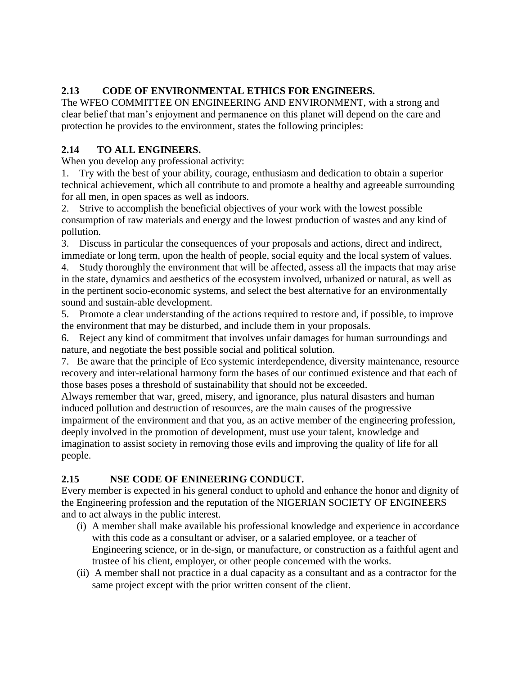## **2.13 CODE OF ENVIRONMENTAL ETHICS FOR ENGINEERS.**

The WFEO COMMITTEE ON ENGINEERING AND ENVIRONMENT, with a strong and clear belief that man's enjoyment and permanence on this planet will depend on the care and protection he provides to the environment, states the following principles:

## **2.14 TO ALL ENGINEERS.**

When you develop any professional activity:

1. Try with the best of your ability, courage, enthusiasm and dedication to obtain a superior technical achievement, which all contribute to and promote a healthy and agreeable surrounding for all men, in open spaces as well as indoors.

2. Strive to accomplish the beneficial objectives of your work with the lowest possible consumption of raw materials and energy and the lowest production of wastes and any kind of pollution.

3. Discuss in particular the consequences of your proposals and actions, direct and indirect, immediate or long term, upon the health of people, social equity and the local system of values.

4. Study thoroughly the environment that will be affected, assess all the impacts that may arise in the state, dynamics and aesthetics of the ecosystem involved, urbanized or natural, as well as in the pertinent socio-economic systems, and select the best alternative for an environmentally sound and sustain-able development.

5. Promote a clear understanding of the actions required to restore and, if possible, to improve the environment that may be disturbed, and include them in your proposals.

6. Reject any kind of commitment that involves unfair damages for human surroundings and nature, and negotiate the best possible social and political solution.

7. Be aware that the principle of Eco systemic interdependence, diversity maintenance, resource recovery and inter-relational harmony form the bases of our continued existence and that each of those bases poses a threshold of sustainability that should not be exceeded.

Always remember that war, greed, misery, and ignorance, plus natural disasters and human induced pollution and destruction of resources, are the main causes of the progressive impairment of the environment and that you, as an active member of the engineering profession, deeply involved in the promotion of development, must use your talent, knowledge and imagination to assist society in removing those evils and improving the quality of life for all people.

# **2.15 NSE CODE OF ENINEERING CONDUCT.**

Every member is expected in his general conduct to uphold and enhance the honor and dignity of the Engineering profession and the reputation of the NIGERIAN SOCIETY OF ENGINEERS and to act always in the public interest.

- (i) A member shall make available his professional knowledge and experience in accordance with this code as a consultant or adviser, or a salaried employee, or a teacher of Engineering science, or in de-sign, or manufacture, or construction as a faithful agent and trustee of his client, employer, or other people concerned with the works.
- (ii) A member shall not practice in a dual capacity as a consultant and as a contractor for the same project except with the prior written consent of the client.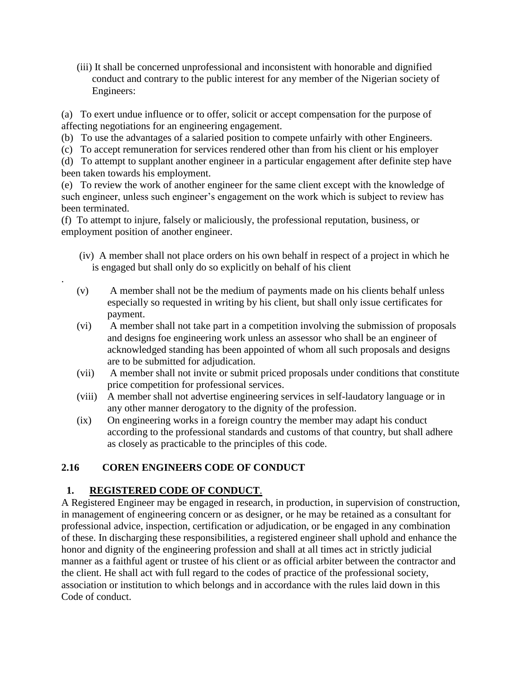(iii) It shall be concerned unprofessional and inconsistent with honorable and dignified conduct and contrary to the public interest for any member of the Nigerian society of Engineers:

(a) To exert undue influence or to offer, solicit or accept compensation for the purpose of affecting negotiations for an engineering engagement.

(b) To use the advantages of a salaried position to compete unfairly with other Engineers.

(c) To accept remuneration for services rendered other than from his client or his employer

(d) To attempt to supplant another engineer in a particular engagement after definite step have been taken towards his employment.

(e) To review the work of another engineer for the same client except with the knowledge of such engineer, unless such engineer's engagement on the work which is subject to review has been terminated.

(f) To attempt to injure, falsely or maliciously, the professional reputation, business, or employment position of another engineer.

- (iv) A member shall not place orders on his own behalf in respect of a project in which he is engaged but shall only do so explicitly on behalf of his client
- (v) A member shall not be the medium of payments made on his clients behalf unless especially so requested in writing by his client, but shall only issue certificates for payment.
- (vi) A member shall not take part in a competition involving the submission of proposals and designs foe engineering work unless an assessor who shall be an engineer of acknowledged standing has been appointed of whom all such proposals and designs are to be submitted for adjudication.
- (vii) A member shall not invite or submit priced proposals under conditions that constitute price competition for professional services.
- (viii) A member shall not advertise engineering services in self-laudatory language or in any other manner derogatory to the dignity of the profession.
- (ix) On engineering works in a foreign country the member may adapt his conduct according to the professional standards and customs of that country, but shall adhere as closely as practicable to the principles of this code.

## **2.16 COREN ENGINEERS CODE OF CONDUCT**

### **1. REGISTERED CODE OF CONDUCT**.

.

A Registered Engineer may be engaged in research, in production, in supervision of construction, in management of engineering concern or as designer, or he may be retained as a consultant for professional advice, inspection, certification or adjudication, or be engaged in any combination of these. In discharging these responsibilities, a registered engineer shall uphold and enhance the honor and dignity of the engineering profession and shall at all times act in strictly judicial manner as a faithful agent or trustee of his client or as official arbiter between the contractor and the client. He shall act with full regard to the codes of practice of the professional society, association or institution to which belongs and in accordance with the rules laid down in this Code of conduct.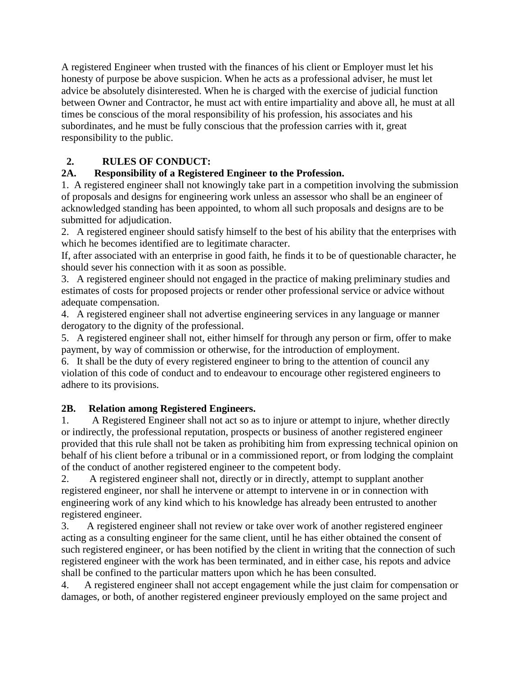A registered Engineer when trusted with the finances of his client or Employer must let his honesty of purpose be above suspicion. When he acts as a professional adviser, he must let advice be absolutely disinterested. When he is charged with the exercise of judicial function between Owner and Contractor, he must act with entire impartiality and above all, he must at all times be conscious of the moral responsibility of his profession, his associates and his subordinates, and he must be fully conscious that the profession carries with it, great responsibility to the public.

## **2. RULES OF CONDUCT:**

## **2A. Responsibility of a Registered Engineer to the Profession.**

1. A registered engineer shall not knowingly take part in a competition involving the submission of proposals and designs for engineering work unless an assessor who shall be an engineer of acknowledged standing has been appointed, to whom all such proposals and designs are to be submitted for adjudication.

2. A registered engineer should satisfy himself to the best of his ability that the enterprises with which he becomes identified are to legitimate character.

If, after associated with an enterprise in good faith, he finds it to be of questionable character, he should sever his connection with it as soon as possible.

3. A registered engineer should not engaged in the practice of making preliminary studies and estimates of costs for proposed projects or render other professional service or advice without adequate compensation.

4. A registered engineer shall not advertise engineering services in any language or manner derogatory to the dignity of the professional.

5. A registered engineer shall not, either himself for through any person or firm, offer to make payment, by way of commission or otherwise, for the introduction of employment.

6. It shall be the duty of every registered engineer to bring to the attention of council any violation of this code of conduct and to endeavour to encourage other registered engineers to adhere to its provisions.

## **2B. Relation among Registered Engineers.**

1. A Registered Engineer shall not act so as to injure or attempt to injure, whether directly or indirectly, the professional reputation, prospects or business of another registered engineer provided that this rule shall not be taken as prohibiting him from expressing technical opinion on behalf of his client before a tribunal or in a commissioned report, or from lodging the complaint of the conduct of another registered engineer to the competent body.

2. A registered engineer shall not, directly or in directly, attempt to supplant another registered engineer, nor shall he intervene or attempt to intervene in or in connection with engineering work of any kind which to his knowledge has already been entrusted to another registered engineer.

3. A registered engineer shall not review or take over work of another registered engineer acting as a consulting engineer for the same client, until he has either obtained the consent of such registered engineer, or has been notified by the client in writing that the connection of such registered engineer with the work has been terminated, and in either case, his repots and advice shall be confined to the particular matters upon which he has been consulted.

4. A registered engineer shall not accept engagement while the just claim for compensation or damages, or both, of another registered engineer previously employed on the same project and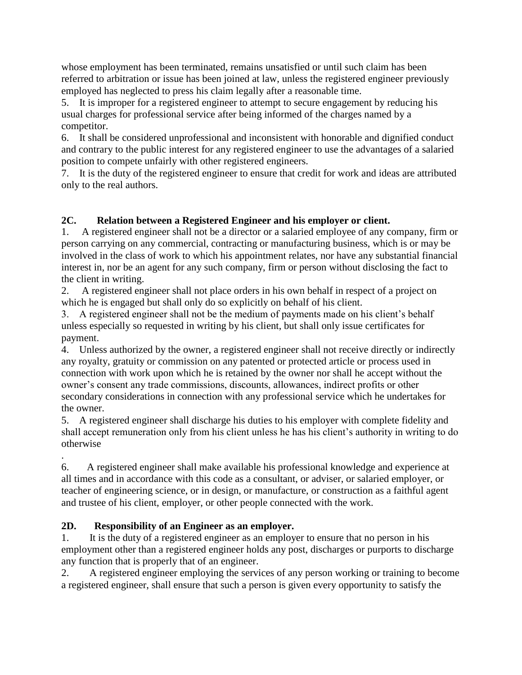whose employment has been terminated, remains unsatisfied or until such claim has been referred to arbitration or issue has been joined at law, unless the registered engineer previously employed has neglected to press his claim legally after a reasonable time.

5. It is improper for a registered engineer to attempt to secure engagement by reducing his usual charges for professional service after being informed of the charges named by a competitor.

6. It shall be considered unprofessional and inconsistent with honorable and dignified conduct and contrary to the public interest for any registered engineer to use the advantages of a salaried position to compete unfairly with other registered engineers.

7. It is the duty of the registered engineer to ensure that credit for work and ideas are attributed only to the real authors.

## **2C. Relation between a Registered Engineer and his employer or client.**

1. A registered engineer shall not be a director or a salaried employee of any company, firm or person carrying on any commercial, contracting or manufacturing business, which is or may be involved in the class of work to which his appointment relates, nor have any substantial financial interest in, nor be an agent for any such company, firm or person without disclosing the fact to the client in writing.

2. A registered engineer shall not place orders in his own behalf in respect of a project on which he is engaged but shall only do so explicitly on behalf of his client.

3. A registered engineer shall not be the medium of payments made on his client's behalf unless especially so requested in writing by his client, but shall only issue certificates for payment.

4. Unless authorized by the owner, a registered engineer shall not receive directly or indirectly any royalty, gratuity or commission on any patented or protected article or process used in connection with work upon which he is retained by the owner nor shall he accept without the owner's consent any trade commissions, discounts, allowances, indirect profits or other secondary considerations in connection with any professional service which he undertakes for the owner.

5. A registered engineer shall discharge his duties to his employer with complete fidelity and shall accept remuneration only from his client unless he has his client's authority in writing to do otherwise

. 6. A registered engineer shall make available his professional knowledge and experience at all times and in accordance with this code as a consultant, or adviser, or salaried employer, or teacher of engineering science, or in design, or manufacture, or construction as a faithful agent and trustee of his client, employer, or other people connected with the work.

### **2D. Responsibility of an Engineer as an employer.**

1. It is the duty of a registered engineer as an employer to ensure that no person in his employment other than a registered engineer holds any post, discharges or purports to discharge any function that is properly that of an engineer.

2. A registered engineer employing the services of any person working or training to become a registered engineer, shall ensure that such a person is given every opportunity to satisfy the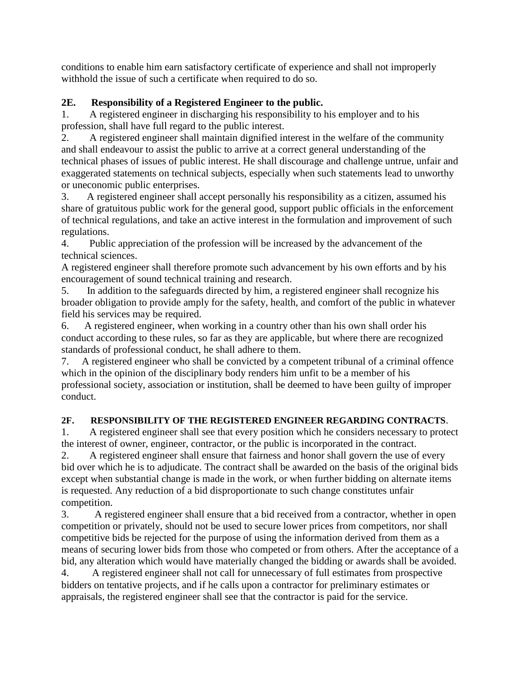conditions to enable him earn satisfactory certificate of experience and shall not improperly withhold the issue of such a certificate when required to do so.

## **2E. Responsibility of a Registered Engineer to the public.**

1. A registered engineer in discharging his responsibility to his employer and to his profession, shall have full regard to the public interest.

2. A registered engineer shall maintain dignified interest in the welfare of the community and shall endeavour to assist the public to arrive at a correct general understanding of the technical phases of issues of public interest. He shall discourage and challenge untrue, unfair and exaggerated statements on technical subjects, especially when such statements lead to unworthy or uneconomic public enterprises.

3. A registered engineer shall accept personally his responsibility as a citizen, assumed his share of gratuitous public work for the general good, support public officials in the enforcement of technical regulations, and take an active interest in the formulation and improvement of such regulations.

4. Public appreciation of the profession will be increased by the advancement of the technical sciences.

A registered engineer shall therefore promote such advancement by his own efforts and by his encouragement of sound technical training and research.

5. In addition to the safeguards directed by him, a registered engineer shall recognize his broader obligation to provide amply for the safety, health, and comfort of the public in whatever field his services may be required.

6. A registered engineer, when working in a country other than his own shall order his conduct according to these rules, so far as they are applicable, but where there are recognized standards of professional conduct, he shall adhere to them.

7. A registered engineer who shall be convicted by a competent tribunal of a criminal offence which in the opinion of the disciplinary body renders him unfit to be a member of his professional society, association or institution, shall be deemed to have been guilty of improper conduct.

## **2F. RESPONSIBILITY OF THE REGISTERED ENGINEER REGARDING CONTRACTS**.

1. A registered engineer shall see that every position which he considers necessary to protect the interest of owner, engineer, contractor, or the public is incorporated in the contract.

2. A registered engineer shall ensure that fairness and honor shall govern the use of every bid over which he is to adjudicate. The contract shall be awarded on the basis of the original bids except when substantial change is made in the work, or when further bidding on alternate items is requested. Any reduction of a bid disproportionate to such change constitutes unfair competition.

3. A registered engineer shall ensure that a bid received from a contractor, whether in open competition or privately, should not be used to secure lower prices from competitors, nor shall competitive bids be rejected for the purpose of using the information derived from them as a means of securing lower bids from those who competed or from others. After the acceptance of a bid, any alteration which would have materially changed the bidding or awards shall be avoided.

4. A registered engineer shall not call for unnecessary of full estimates from prospective bidders on tentative projects, and if he calls upon a contractor for preliminary estimates or appraisals, the registered engineer shall see that the contractor is paid for the service.